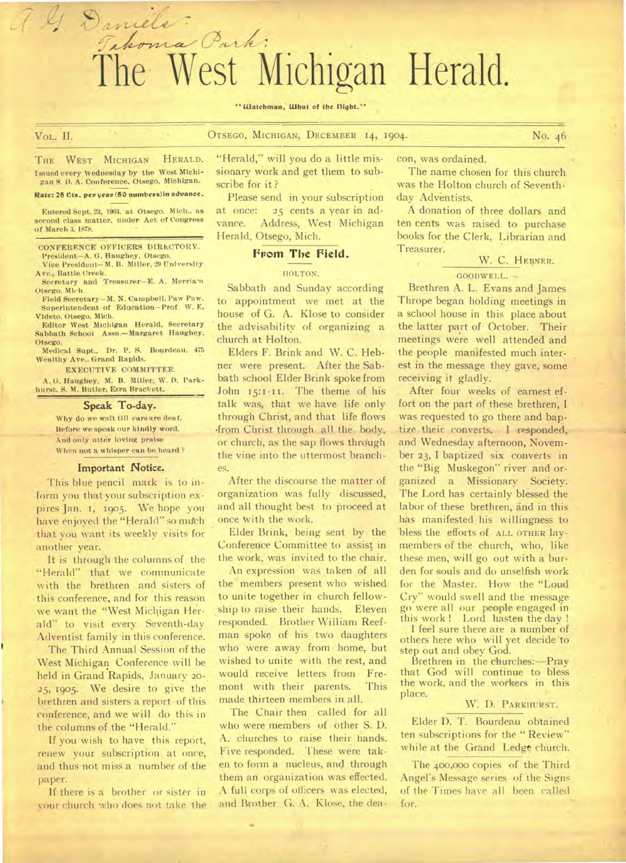# Takoma Park: The West Michigan Herald.

#### " Watchman, What of the Dight."

VOL. II. OTSEGO, MICHIGAN, DECEMBER 14, 1904. No. 46

THE WEST MICHIGAN HERALD. Issued every Wednesday by the West Michigan S. D. A. Conference. Otsego, Michigan.

a. G. Daniels:

#### **Rate: 25 Cts. pep yew, (50 numbews)in advance.**

Entered Sept. 23, 1903. at Otsego. Mich.. as second class matter, under Act of Congress of March 3, 1878.

#### CONFERENCE OFFICERS DIRECTORY. President—A. G. Haughey, Otsego.

Vice President—M. B. Miller. 29 University Ave., Battle Creek.

Secretary and Treasurer—E. A. Merriam Otsego. Mich.

Field Secretary—M. N. Campbell. Paw Paw. Superintendent of Education—Prof. W. E. Videto, Otsego, Mich.

Editor West Michigan Herald, Secretary Sabbath Scbooi Assn.—Margaret Haughey, Otsego.

Medical Supt., Dr. P. S. Bourdeau, 475 Wealthy Ave.. Grand Rapids.

EXECUTIVE COMMITTEE.

A. G. Haughey, M. B. Miller, W. D. Park-hurst. S. M. Butler. Ezra Brackett.

#### **Speak To-day.**

Why do we wait till ears are deaf. Before we speak our kindly word. And only utter loving praise When not a whisper can be heard?

#### Important Notice.

This blue pencil mark is to inform you that your subscription expires Jan. I, 1905. We hope you have enjoyed the "Herald" so much that you want its weekly visits for another year.

It is through the columns of the "Herald" that we communicate with the brethren and sisters of this conference, and for this reason we want the "West Michigan Herald" to visit every Seventh-day Adventist family in this conference.

The Third Annual Session of the West Michigan Conference will be held in Grand Rapids, January 20-25, 1905. We desire to give the brethren and sisters a report of this conference, and we will do this in the columns of the "Herald."

If you wish to have this report, renew your subscription at once, and thus not miss a number of the paper.

If there is a brother or sister in your church who does not take the "Herald," will you do a little missionary Work and get them to subscribe for it ?

Please send in your subscription at once: 25 cents a year in advance. Address, West Michigan Herald, Otsego, Mich.

#### **From The Field.**

#### HOLTON.

Sabbath and Sunday according to appointment we met at the house of G. A. Klose to consider the advisability of organizing a church at Holton.

Elders F. Brink and W. C. Hebner were present. After the Sabbath school Elder Brink spoke from John 15:1-11. The theme of his talk was, that we have life only through Christ, and that life flows .from Christ through all the body, or church, as the sap flows through the vine into the uttermost branches.

After the discourse the matter of organization was fully discussed, and all thought best to proceed at once With the work.

Elder Brink, being sent by the Conference Committee to assist in the work, was invited to the chair.

An expression was. taken of all the members present who wished to unite together in church fellowship to raise their hands. Eleven responded. Brother William Reefman spoke of his two daughters who were away from home, but wished to unite with the rest, and would receive letters from Fremont with their parents. This made thirteen members in all.

The Chair then called for all who were members of other S. D. A. churches to raise their hands. Five responded. These were taken to form a nucleus, and through them an organization was effected. A full corps of officers was elected, and Brother G. A. Klose, the deacon, was ordained.

The name chosen for this church was the Holton church of Seventhday Adventists.

A donation of three dollars and ten cents was raised to purchase books for the Clerk, Librarian and Treasurer.

#### W. C. HEBNER.

#### GOODWELI..

Brethren A. L. Evans and James Thrope began holding meetings in a school house in this place about the latter part of October. Their meetings were well attended and the people manifested much interest in the message they gave, some receiving it gladly.

After four weeks of earnest effort on the part of these brethren, I was requested to go there and baptize their converts. I responded, and Wednesday afternoon, November 23, I baptized six converts in the "Big Muskegon" river and organized a Missionary Society. The Lord has certainly blessed the labor of these brethren, and in this has manifested his willingness to bless the efforts of ALL OTHER laymembers of the church, who, like these men, will go out with a burden for souls and do unselfish work for the Master. How the "Loud Cry" would swell and the message go were all our people engaged in this work ! Lord hasten the day !

I feel sure there are a number of others here who will yet decide'to step out and obey God.

Brethren in the churches:—Pray that God will continue to bless the work, and the workers in this place.

#### W. D. PARKHURST.

Elder D. T. Bourdeau obtained ten subscriptions for the "Review" while at the Grand Ledge church.

The 400,000 copies of the Third Angel's Message series of the Signs of the Times have all been called for.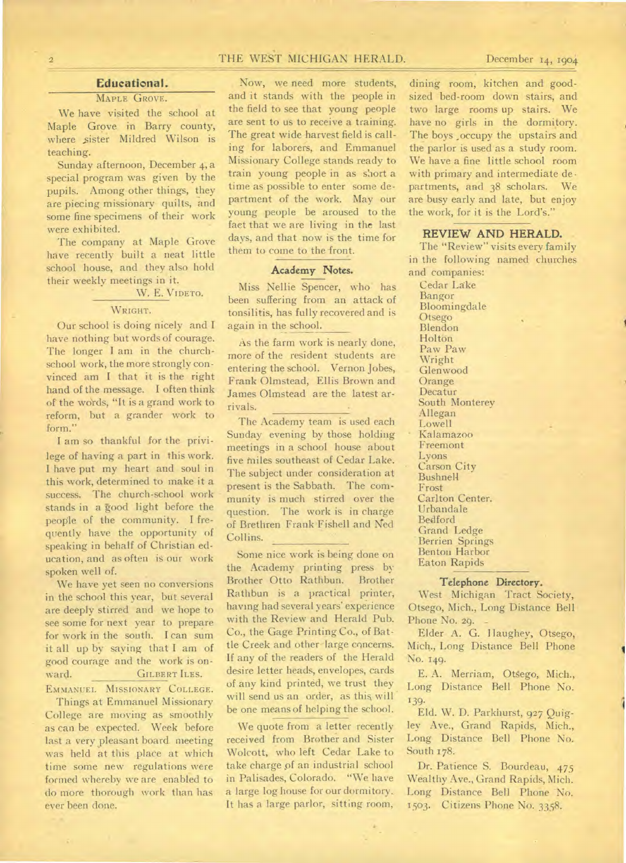# 2 THE WEST MICHIGAN HERALD. December 14, 1904

### **Educational.**

#### MAPLE GROVE.

We have visited the school at Maple Grove in Barry county, where sister Mildred Wilson is teaching.

Sunday afternoon, December 4, a special program was given by the pupils. Among other things, they are piecing missionary quilts, and some fine specimens of their work were exhibited.

The company at Maple Grove have recently built a neat little school house, and they also hold their weekly meetings in it.

W. E. VIDETO.

#### WRIGHT.

Our school is doing nicely and I have nothing but words of courage. The longer I am in the churchschool work, the more strongly convinced am I that it is the right hand of the message. I often think of the words, "It is a grand work to reform, but a grander work to form."

I am so thankful for the privilege of having a part in this work. I have put my heart and soul in this work, determined to make it a success. The church-school work stands in a good light before the people of the community. I frequently have the opportunity of speaking in behalf of Christian education, and as often is our work spoken well of.

We have yet seen no conversions in the school this year, but several are deeply stirred and we hope to see some for next year to prepare for work in the south. I can sum it all up by saying that I am of good courage and the work is onward. GILBERT ILES. EMMANUEL MISSIONARY COLLEGE.

Things at Emmanuel Missionary College are moving as smoothly as can be expected. Week before last a very pleasant board meeting was held at this place at which time some new regulations were formed whereby we are enabled to do more thorough work than has ever been done.

Now, we need more students, and it stands with the people in the field to see that young people are sent to us to receive a training. The great wide harvest field is calling for laborers, and Emmanuel Missionary College stands ready to train young people in as short a time as possible to enter some department of the work. May our young people be aroused to the fact that we are living in the last days, and that now is the time for them to come to the front.

#### Academy Notes.

Miss Nellie Spencer, who has been suffering from an attack of tonsilitis, has fully recovered and is again in the school.

As the farm work is nearly done, more of the resident students are entering the school. Vernon Jobes, Frank Olmstead, Ellis Brown and James Olmstead are the latest arrivals.

The Academy team is used each Sunday evening by those holding meetings in a school house about five miles southeast of Cedar Lake. The subject under consideration at present is the Sabbath. The community is much stirred over the question. The work is in charge of Brethren Frank.Fishell and Ned Collins.

Some nice work is being done on the Academy printing press by Brother Otto Rathbun. Brother Rathbun is a practical printer, having had several years' experience with the Review and Herald Pub. Co., the Gage Printing Co., of Battle Creek and other large concerns. If any of the readers of the Herald desire letter heads, envelopes, cards of any kind printed, we trust they will send us an order, as this will be one means of helping the school.

We quote from a letter recently received from Brother and Sister Wolcott, who left Cedar Lake to take charge pf an industrial school in Palisades, Colorado. "We have a large log house for our dormitory. It has a large parlor, sitting room,

k.

dining room, kitchen and goodsized bed-room down stairs, and two large rooms up stairs. We have no girls in the dormitory. The boys ,occupy the upstairs and the parlor is used as a study room. We have a fine little school room with primary and intermediate de. partments, and 38 scholars. We are busy early and late, but enjoy the work, for it is the Lord's."

#### **REVIEW AND HERALD. .**

The "Review" visits every family in the following named churches and companies:

Cedar Lake Bangor Bloomingdale Otsego Blendon Holton Paw Paw Wright Glenwood **Orange** Decatur South Monterey Allegan Lowell Kalamazoo Freemont Lyons Carson City Bushnell Frost Carlton Center. Urbandale Bedford Grand Ledge Berrien Springs Benton Harbor Eaton Rapids

#### Telephone Directory.

West Michigan Tract Society, Otsego, Mich., Long Distance Bell Phone No. 29.

Elder A. G. Haughey, Otsego, Mich., Long Distance Bell Phone No. 149.

E. A. Merriam, Otsego, Mich., Long Distance Bell Phone No. 139.

Eld. W. D. Parkhurst, 927 Quigley Ave., Grand Rapids, Mich., Long Distance Bell Phone No. South 178.

Dr. Patience S. Bourdeau, 475 Wealthy Ave., Grand Rapids, Mich. Long Distance Bell Phone No. 1503. Citizens Phone No. 3358.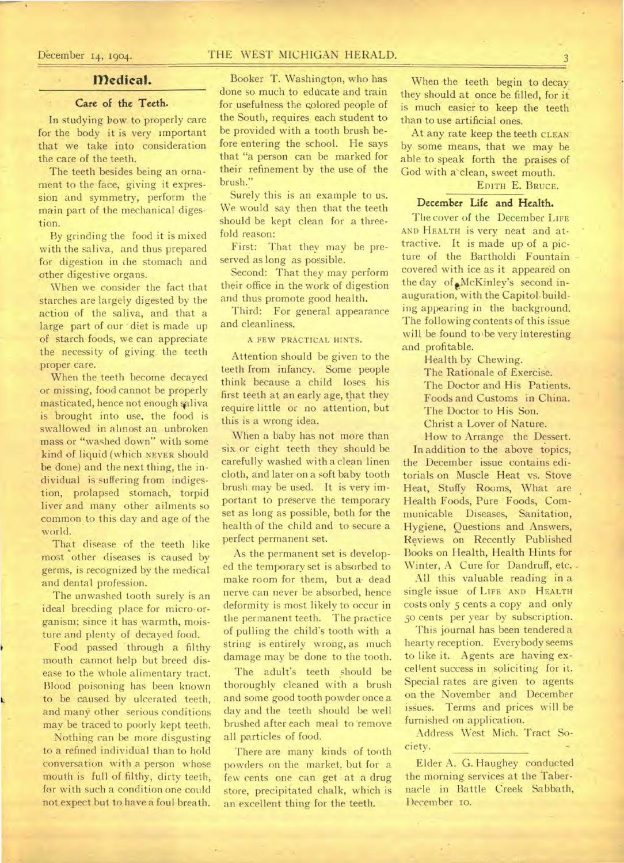#### **Medical.**

# Care of the Teeth.

In studying how to properly care for the body it is very important that we take into consideration the care of the teeth.

The teeth besides being an ornament to the face, giving it expression and symmetry, perform the main part of the mechanical digestion.

By grinding the food it is mixed with the saliva, and thus prepared for digestion in the stomach and other digestive organs.

When we consider the fact that starches are largely digested by the action of the saliva, and that a large part of our diet is made up of starch foods, we can appreciate the necessity of giving. the teeth proper care.

When the teeth become decayed or missing, food cannot be properly masticated, hence not enough saliva is brought into use, the food is swallowed in almost an unbroken mass or "washed down" with some kind of liquid (which NEVER should be done) and the next thing, the individual is suffering from indigestion, prolapsed stomach, torpid liver and many other ailments so common to this day and age of the world.

That disease of the teeth like most other diseases is caused by germs, is recognized by the medical and dental profession.

The unwashed tooth surely is an ideal breeding place for micro-organism; since it has warmth, moisture and plenty of decayed food.

Food passed through a filthy mouth cannot help but breed disease to the whole alimentary tract. Blood poisoning has been known to be caused by ulcerated teeth, and many other serious conditions may be traced to poorly kept teeth.

Nothing can be more disgusting to a refined individual than to hold conversation with a person whose mouth is full of filthy, dirty teeth, for with such a condition one could not expect but to have a foul breath.

# Booker T. Washington, who has done so much to educate and train for usefulness the colored people of the South, requires each student to be provided with a tooth brush be-

fore entering the school. He says that "a person can be marked for their refinement by the use of the brush."

Surely this is an example to us. We would say then that the teeth should be kept clean for a threefold reason:

First: That they may be preserved as long as possible.

Second: That they may perform their office in the work of digestion and thus promote good health.

Third: For general appearance and cleanliness.

A FEW PRACTICAL HINTS.

Attention should be given to the teeth from infancy. Some people think because a child loses his first teeth at an early age, that they require little or no attention, but this is a wrong idea.

When a baby has not more than six or eight teeth they should be carefully washed with a clean linen cloth, and later on a soft baby tooth brush may be used. It is very important to preserve the temporary set as long as possible, both for the health of the child and to secure a perfect permanent set.

As the permanent set is developed the temporary set is absorbed to make room for them, but a• dead nerve can never be absorbed, hence deformity is most likely to occur in the permanent teeth. The practice of pulling the child's tooth with a string is entirely wrong, as much damage may be done to the tooth.

The adult's teeth should be thoroughly cleaned with a brush and some good tooth powder once a day and the teeth should be well brushed after each meal to 'remove all particles of food.

There are many kinds of tooth powders on the market, but for a few cents one can get at a drug store, precipitated chalk, which is an excellent thing for the teeth.

When the teeth begin to decay they should at once be filled, for it is much easier to keep the teeth than to use artificial ones.

At any rate keep the teeth CLEAN' by some means, that we may be able to speak forth the praises of God with a'clean, sweet mouth.

#### EDITH E. BRUCE.

# **December Life and** Health.

The cover of the December LIFE AND HEALTH is very neat and attractive. It is made up of a picture of the Bartholdi Fountain covered with ice as it appeared on the day of McKinley's second inauguration, with the Capitol.building appearing in the background. The following contents of this issue will be found to be very interesting and profitable.

Health by Chewing.

The Rationale of Exercise.

The Doctor and His Patients. Foods and Customs in China.

The Doctor to His Son.

Christ a Lover of Nature.

How to Arrange the Dessert.

In addition to the above topics, the December issue contains editorials on Muscle Heat vs. Stove Heat, Stuffy Rooms, What are Health Foods, Pure Foods, Communicable Diseases, Sanitation, Hygiene, Questions and Answers, Reviews on Recently Published Books on Health, Health Hints for Winter, A Cure for Dandruff, etc. .

All this valuable reading in a single issue of LIFE AND HEALTH costs only 5 cents a copy and only 5o cents per year by subscription.

This journal has been tendered a hearty reception. Everybody seems to like it. Agents are having excellent success in soliciting for it. Special rates are given to agents on the November and December issues. Terms and prices will be furnished on application.

Address West Mich. Tract Society.

Elder A. G. Haughey conducted the morning services at the Tabernacle in Battle Creek Sabbath, December io.

# December 14, 1904. THE WEST MICHIGAN HERALD.